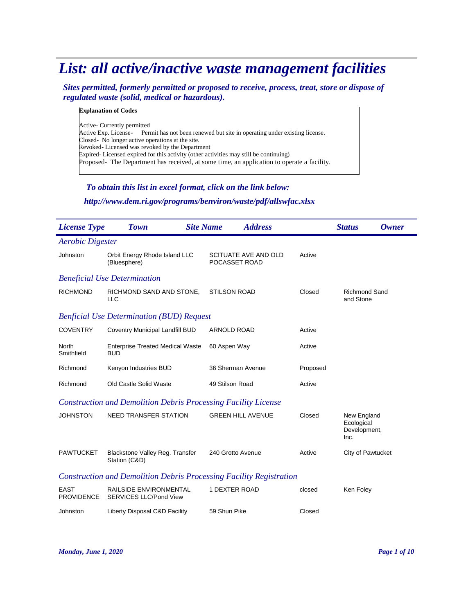# *List: all active/inactive waste management facilities*

*Sites permitted, formerly permitted or proposed to receive, process, treat, store or dispose of regulated waste (solid, medical or hazardous).*

### **Explanation of Codes**

Active- Currently permitted Active Exp. License-<br>
Permit has not been renewed but site in operating under existing license. Closed- No longer active operations at the site. Revoked- Licensed was revoked by the Department Expired- Licensed expired for this activity (other activities may still be continuing) Proposed- The Department has received, at some time, an application to operate a facility.

## *To obtain this list in excel format, click on the link below:*

## *http://www.dem.ri.gov/programs/benviron/waste/pdf/allswfac.xlsx*

| <b>License Type</b>                                                        | <b>Town</b>                                                           | <b>Site Name</b> | <b>Address</b>                        |          | <b>Status</b>                                     | <b>Owner</b> |
|----------------------------------------------------------------------------|-----------------------------------------------------------------------|------------------|---------------------------------------|----------|---------------------------------------------------|--------------|
| <b>Aerobic Digester</b>                                                    |                                                                       |                  |                                       |          |                                                   |              |
| Johnston                                                                   | Orbit Energy Rhode Island LLC<br>(Bluesphere)                         |                  | SCITUATE AVE AND OLD<br>POCASSET ROAD | Active   |                                                   |              |
|                                                                            | <b>Beneficial Use Determination</b>                                   |                  |                                       |          |                                                   |              |
| <b>RICHMOND</b>                                                            | RICHMOND SAND AND STONE,<br><b>LLC</b>                                |                  | <b>STILSON ROAD</b>                   | Closed   | <b>Richmond Sand</b><br>and Stone                 |              |
|                                                                            | <b>Benficial Use Determination (BUD) Request</b>                      |                  |                                       |          |                                                   |              |
| <b>COVENTRY</b>                                                            | Coventry Municipal Landfill BUD                                       |                  | <b>ARNOLD ROAD</b>                    | Active   |                                                   |              |
| North<br>Smithfield                                                        | <b>Enterprise Treated Medical Waste</b><br><b>BUD</b>                 |                  | 60 Aspen Way                          | Active   |                                                   |              |
| Richmond                                                                   | Kenyon Industries BUD                                                 |                  | 36 Sherman Avenue                     | Proposed |                                                   |              |
| Richmond                                                                   | Old Castle Solid Waste                                                |                  | 49 Stilson Road                       | Active   |                                                   |              |
|                                                                            | <b>Construction and Demolition Debris Processing Facility License</b> |                  |                                       |          |                                                   |              |
| <b>JOHNSTON</b>                                                            | <b>NEED TRANSFER STATION</b>                                          |                  | <b>GREEN HILL AVENUE</b>              | Closed   | New England<br>Ecological<br>Development,<br>Inc. |              |
| <b>PAWTUCKET</b>                                                           | Blackstone Valley Reg. Transfer<br>Station (C&D)                      |                  | 240 Grotto Avenue                     | Active   | City of Pawtucket                                 |              |
| <b>Construction and Demolition Debris Processing Facility Registration</b> |                                                                       |                  |                                       |          |                                                   |              |
| <b>EAST</b><br><b>PROVIDENCE</b>                                           | RAILSIDE ENVIRONMENTAL<br><b>SERVICES LLC/Pond View</b>               |                  | 1 DEXTER ROAD                         | closed   | Ken Foley                                         |              |
| Johnston                                                                   | Liberty Disposal C&D Facility                                         | 59 Shun Pike     |                                       | Closed   |                                                   |              |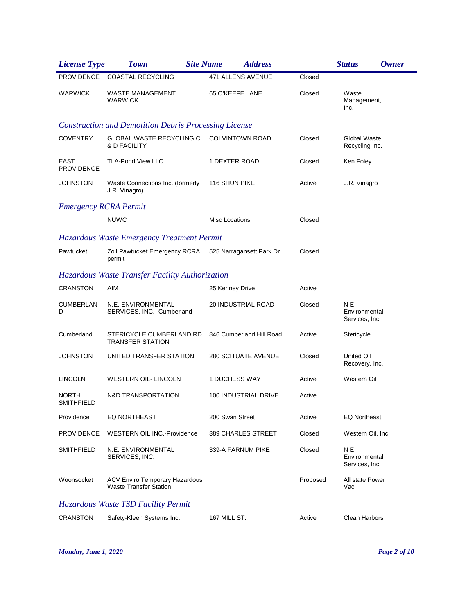| <b>License Type</b>              | <b>Site Name</b><br><b>Town</b>                                               | <b>Address</b>             |          | <b>Status</b><br><b>Owner</b>          |
|----------------------------------|-------------------------------------------------------------------------------|----------------------------|----------|----------------------------------------|
| <b>PROVIDENCE</b>                | <b>COASTAL RECYCLING</b>                                                      | <b>471 ALLENS AVENUE</b>   | Closed   |                                        |
| <b>WARWICK</b>                   | <b>WASTE MANAGEMENT</b><br>WARWICK                                            | 65 O'KEEFE LANE            | Closed   | Waste<br>Management,<br>Inc.           |
|                                  | <b>Construction and Demolition Debris Processing License</b>                  |                            |          |                                        |
| <b>COVENTRY</b>                  | <b>GLOBAL WASTE RECYCLING C</b><br>& D FACILITY                               | <b>COLVINTOWN ROAD</b>     | Closed   | Global Waste<br>Recycling Inc.         |
| <b>EAST</b><br><b>PROVIDENCE</b> | <b>TLA-Pond View LLC</b>                                                      | 1 DEXTER ROAD              | Closed   | Ken Foley                              |
| JOHNSTON                         | Waste Connections Inc. (formerly<br>J.R. Vinagro)                             | 116 SHUN PIKE              | Active   | J.R. Vinagro                           |
| <b>Emergency RCRA Permit</b>     |                                                                               |                            |          |                                        |
|                                  | <b>NUWC</b>                                                                   | <b>Misc Locations</b>      | Closed   |                                        |
|                                  | Hazardous Waste Emergency Treatment Permit                                    |                            |          |                                        |
| Pawtucket                        | Zoll Pawtucket Emergency RCRA<br>permit                                       | 525 Narragansett Park Dr.  | Closed   |                                        |
|                                  | Hazardous Waste Transfer Facility Authorization                               |                            |          |                                        |
| <b>CRANSTON</b>                  | AIM                                                                           | 25 Kenney Drive            | Active   |                                        |
| CUMBERLAN<br>D                   | N.E. ENVIRONMENTAL<br>SERVICES, INC. - Cumberland                             | 20 INDUSTRIAL ROAD         | Closed   | ΝE<br>Environmental<br>Services, Inc.  |
| Cumberland                       | STERICYCLE CUMBERLAND RD. 846 Cumberland Hill Road<br><b>TRANSFER STATION</b> |                            | Active   | Stericycle                             |
| <b>JOHNSTON</b>                  | UNITED TRANSFER STATION                                                       | <b>280 SCITUATE AVENUE</b> | Closed   | United Oil<br>Recovery, Inc.           |
| <b>LINCOLN</b>                   | WESTERN OIL- LINCOLN                                                          | 1 DUCHESS WAY              | Active   | Western Oil                            |
| <b>NORTH</b><br>SMITHFIELD       | N&D TRANSPORTATION                                                            | 100 INDUSTRIAL DRIVE       | Active   |                                        |
| Providence                       | <b>EQ NORTHEAST</b>                                                           | 200 Swan Street            | Active   | <b>EQ Northeast</b>                    |
| <b>PROVIDENCE</b>                | <b>WESTERN OIL INC.-Providence</b>                                            | 389 CHARLES STREET         | Closed   | Western Oil, Inc.                      |
| <b>SMITHFIELD</b>                | N.E. ENVIRONMENTAL<br>SERVICES, INC.                                          | 339-A FARNUM PIKE          | Closed   | N E<br>Environmental<br>Services, Inc. |
| Woonsocket                       | <b>ACV Enviro Temporary Hazardous</b><br><b>Waste Transfer Station</b>        |                            | Proposed | All state Power<br>Vac                 |
|                                  | Hazardous Waste TSD Facility Permit                                           |                            |          |                                        |
| <b>CRANSTON</b>                  | Safety-Kleen Systems Inc.                                                     | 167 MILL ST.               | Active   | <b>Clean Harbors</b>                   |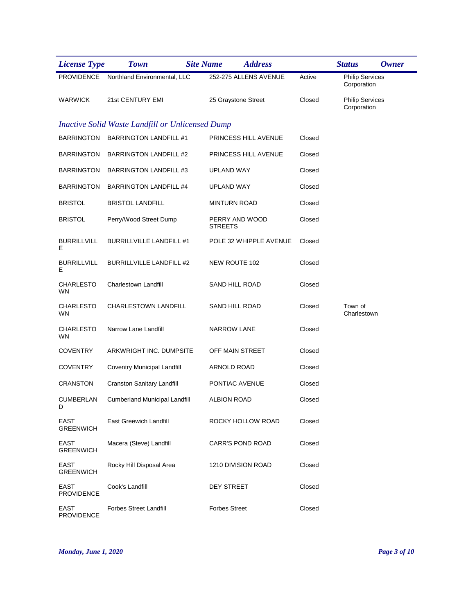| <b>License Type</b>             | <b>Town</b>                                             | <b>Site Name</b> | <b>Address</b>          |        | <b>Status</b>                         | Owner |
|---------------------------------|---------------------------------------------------------|------------------|-------------------------|--------|---------------------------------------|-------|
|                                 | PROVIDENCE Northland Environmental, LLC                 |                  | 252-275 ALLENS AVENUE   | Active | <b>Philip Services</b><br>Corporation |       |
| <b>WARWICK</b>                  | 21st CENTURY EMI                                        |                  | 25 Graystone Street     | Closed | <b>Philip Services</b><br>Corporation |       |
|                                 | <b>Inactive Solid Waste Landfill or Unlicensed Dump</b> |                  |                         |        |                                       |       |
|                                 | BARRINGTON BARRINGTON LANDFILL #1                       |                  | PRINCESS HILL AVENUE    | Closed |                                       |       |
| <b>BARRINGTON</b>               | <b>BARRINGTON LANDFILL #2</b>                           |                  | PRINCESS HILL AVENUE    | Closed |                                       |       |
| BARRINGTON                      | <b>BARRINGTON LANDFILL #3</b>                           |                  | <b>UPLAND WAY</b>       | Closed |                                       |       |
| BARRINGTON                      | <b>BARRINGTON LANDFILL #4</b>                           |                  | UPLAND WAY              | Closed |                                       |       |
| <b>BRISTOL</b>                  | <b>BRISTOL LANDFILL</b>                                 |                  | <b>MINTURN ROAD</b>     | Closed |                                       |       |
| <b>BRISTOL</b>                  | Perry/Wood Street Dump                                  | <b>STREETS</b>   | PERRY AND WOOD          | Closed |                                       |       |
| <b>BURRILLVILL</b><br>Е         | <b>BURRILLVILLE LANDFILL #1</b>                         |                  | POLE 32 WHIPPLE AVENUE  | Closed |                                       |       |
| <b>BURRILLVILL</b><br>Е         | <b>BURRILLVILLE LANDFILL #2</b>                         |                  | NEW ROUTE 102           | Closed |                                       |       |
| <b>CHARLESTO</b><br>WN          | Charlestown Landfill                                    |                  | SAND HILL ROAD          | Closed |                                       |       |
| <b>CHARLESTO</b><br>WN          | CHARLESTOWN LANDFILL                                    |                  | SAND HILL ROAD          | Closed | Town of<br>Charlestown                |       |
| <b>CHARLESTO</b><br>WN          | Narrow Lane Landfill                                    |                  | NARROW LANE             | Closed |                                       |       |
| <b>COVENTRY</b>                 | ARKWRIGHT INC. DUMPSITE                                 |                  | OFF MAIN STREET         | Closed |                                       |       |
| <b>COVENTRY</b>                 | Coventry Municipal Landfill                             |                  | ARNOLD ROAD             | Closed |                                       |       |
| <b>CRANSTON</b>                 | <b>Cranston Sanitary Landfill</b>                       |                  | PONTIAC AVENUE          | Closed |                                       |       |
| D                               | CUMBERLAN Cumberland Municipal Landfill                 |                  | <b>ALBION ROAD</b>      | Closed |                                       |       |
| EAST<br><b>GREENWICH</b>        | East Greewich Landfill                                  |                  | ROCKY HOLLOW ROAD       | Closed |                                       |       |
| EAST<br><b>GREENWICH</b>        | Macera (Steve) Landfill                                 |                  | <b>CARR'S POND ROAD</b> | Closed |                                       |       |
| <b>EAST</b><br><b>GREENWICH</b> | Rocky Hill Disposal Area                                |                  | 1210 DIVISION ROAD      | Closed |                                       |       |
| EAST<br><b>PROVIDENCE</b>       | Cook's Landfill                                         |                  | <b>DEY STREET</b>       | Closed |                                       |       |
| EAST<br><b>PROVIDENCE</b>       | <b>Forbes Street Landfill</b>                           |                  | <b>Forbes Street</b>    | Closed |                                       |       |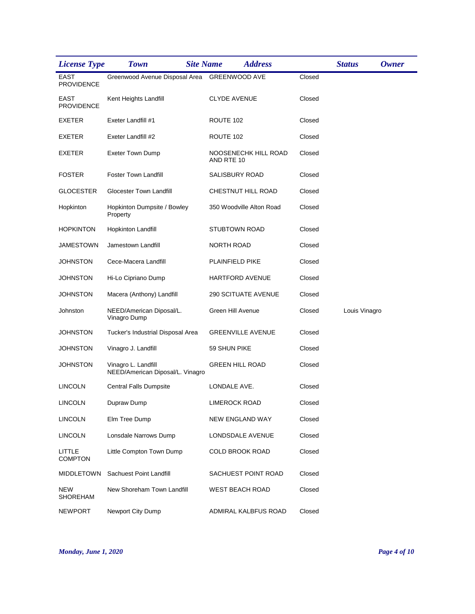| <b>License Type</b>              | <b>Town</b><br><b>Site Name</b>                         |                     | <b>Address</b>             |        | <b>Status</b> | Owner |
|----------------------------------|---------------------------------------------------------|---------------------|----------------------------|--------|---------------|-------|
| <b>EAST</b><br><b>PROVIDENCE</b> | Greenwood Avenue Disposal Area GREENWOOD AVE            |                     |                            | Closed |               |       |
| <b>EAST</b><br><b>PROVIDENCE</b> | Kent Heights Landfill                                   | <b>CLYDE AVENUE</b> |                            | Closed |               |       |
| EXETER                           | Exeter Landfill #1                                      | ROUTE 102           |                            | Closed |               |       |
| <b>EXETER</b>                    | Exeter Landfill #2                                      | ROUTE 102           |                            | Closed |               |       |
| EXETER                           | Exeter Town Dump                                        | AND RTE 10          | NOOSENECHK HILL ROAD       | Closed |               |       |
| <b>FOSTER</b>                    | <b>Foster Town Landfill</b>                             |                     | <b>SALISBURY ROAD</b>      | Closed |               |       |
| <b>GLOCESTER</b>                 | Glocester Town Landfill                                 |                     | CHESTNUT HILL ROAD         | Closed |               |       |
| Hopkinton                        | Hopkinton Dumpsite / Bowley<br>Property                 |                     | 350 Woodville Alton Road   | Closed |               |       |
| <b>HOPKINTON</b>                 | Hopkinton Landfill                                      |                     | <b>STUBTOWN ROAD</b>       | Closed |               |       |
| <b>JAMESTOWN</b>                 | Jamestown Landfill                                      | <b>NORTH ROAD</b>   |                            | Closed |               |       |
| <b>JOHNSTON</b>                  | Cece-Macera Landfill                                    |                     | PLAINFIELD PIKE            | Closed |               |       |
| <b>JOHNSTON</b>                  | Hi-Lo Cipriano Dump                                     |                     | HARTFORD AVENUE            | Closed |               |       |
| <b>JOHNSTON</b>                  | Macera (Anthony) Landfill                               |                     | <b>290 SCITUATE AVENUE</b> | Closed |               |       |
| Johnston                         | NEED/American Diposal/L.<br>Vinagro Dump                |                     | Green Hill Avenue          | Closed | Louis Vinagro |       |
| <b>JOHNSTON</b>                  | Tucker's Industrial Disposal Area                       |                     | <b>GREENVILLE AVENUE</b>   | Closed |               |       |
| <b>JOHNSTON</b>                  | Vinagro J. Landfill                                     | 59 SHUN PIKE        |                            | Closed |               |       |
| <b>JOHNSTON</b>                  | Vinagro L. Landfill<br>NEED/American Diposal/L. Vinagro |                     | <b>GREEN HILL ROAD</b>     | Closed |               |       |
| <b>LINCOLN</b>                   | <b>Central Falls Dumpsite</b>                           | LONDALE AVE.        |                            | Closed |               |       |
| <b>LINCOLN</b>                   | Dupraw Dump                                             |                     | <b>LIMEROCK ROAD</b>       | Closed |               |       |
| <b>LINCOLN</b>                   | Elm Tree Dump                                           |                     | NEW ENGLAND WAY            | Closed |               |       |
| <b>LINCOLN</b>                   | Lonsdale Narrows Dump                                   |                     | LONDSDALE AVENUE           | Closed |               |       |
| LITTLE<br><b>COMPTON</b>         | Little Compton Town Dump                                |                     | <b>COLD BROOK ROAD</b>     | Closed |               |       |
| <b>MIDDLETOWN</b>                | Sachuest Point Landfill                                 |                     | SACHUEST POINT ROAD        | Closed |               |       |
| <b>NEW</b><br><b>SHOREHAM</b>    | New Shoreham Town Landfill                              |                     | <b>WEST BEACH ROAD</b>     | Closed |               |       |
| <b>NEWPORT</b>                   | Newport City Dump                                       |                     | ADMIRAL KALBFUS ROAD       | Closed |               |       |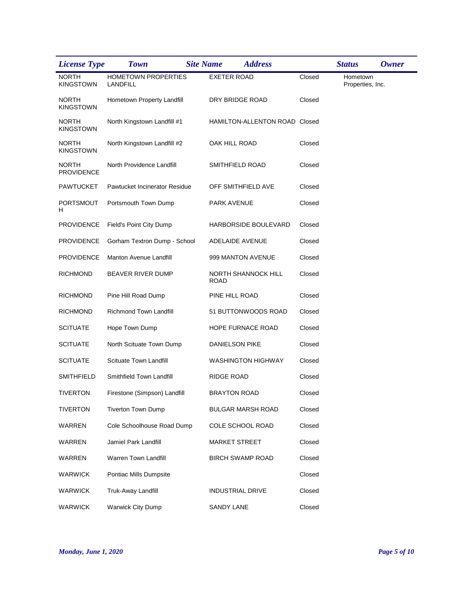| <b>License Type</b>               | <b>Town</b>                     | <b>Site Name</b><br><b>Address</b> |        | <b>Status</b>                | <b>Owner</b> |
|-----------------------------------|---------------------------------|------------------------------------|--------|------------------------------|--------------|
| <b>NORTH</b><br><b>KINGSTOWN</b>  | HOMETOWN PROPERTIES<br>LANDFILL | <b>EXETER ROAD</b>                 | Closed | Hometown<br>Properties, Inc. |              |
| <b>NORTH</b><br>KINGSTOWN         | Hometown Property Landfill      | DRY BRIDGE ROAD                    | Closed |                              |              |
| <b>NORTH</b><br><b>KINGSTOWN</b>  | North Kingstown Landfill #1     | HAMILTON-ALLENTON ROAD Closed      |        |                              |              |
| <b>NORTH</b><br><b>KINGSTOWN</b>  | North Kingstown Landfill #2     | OAK HILL ROAD                      | Closed |                              |              |
| <b>NORTH</b><br><b>PROVIDENCE</b> | North Providence Landfill       | SMITHFIELD ROAD                    | Closed |                              |              |
| <b>PAWTUCKET</b>                  | Pawtucket Incinerator Residue   | OFF SMITHFIELD AVE                 | Closed |                              |              |
| PORTSMOUT<br>н                    | Portsmouth Town Dump            | PARK AVENUE                        | Closed |                              |              |
| <b>PROVIDENCE</b>                 | Field's Point City Dump         | HARBORSIDE BOULEVARD               | Closed |                              |              |
| <b>PROVIDENCE</b>                 | Gorham Textron Dump - School    | ADELAIDE AVENUE                    | Closed |                              |              |
| <b>PROVIDENCE</b>                 | <b>Manton Avenue Landfill</b>   | 999 MANTON AVENUE                  | Closed |                              |              |
| <b>RICHMOND</b>                   | <b>BEAVER RIVER DUMP</b>        | NORTH SHANNOCK HILL<br><b>ROAD</b> | Closed |                              |              |
| <b>RICHMOND</b>                   | Pine Hill Road Dump             | PINE HILL ROAD                     | Closed |                              |              |
| <b>RICHMOND</b>                   | Richmond Town Landfill          | 51 BUTTONWOODS ROAD                | Closed |                              |              |
| <b>SCITUATE</b>                   | Hope Town Dump                  | HOPE FURNACE ROAD                  | Closed |                              |              |
| <b>SCITUATE</b>                   | North Scituate Town Dump        | DANIELSON PIKE                     | Closed |                              |              |
| <b>SCITUATE</b>                   | Scituate Town Landfill          | WASHINGTON HIGHWAY                 | Closed |                              |              |
| <b>SMITHFIELD</b>                 | Smithfield Town Landfill        | <b>RIDGE ROAD</b>                  | Closed |                              |              |
| <b>TIVERTON</b>                   | Firestone (Simpson) Landfill    | <b>BRAYTON ROAD</b>                | Closed |                              |              |
| <b>TIVERTON</b>                   | Tiverton Town Dump              | <b>BULGAR MARSH ROAD</b>           | Closed |                              |              |
| <b>WARREN</b>                     | Cole Schoolhouse Road Dump      | COLE SCHOOL ROAD                   | Closed |                              |              |
| WARREN                            | Jamiel Park Landfill            | <b>MARKET STREET</b>               | Closed |                              |              |
| WARREN                            | Warren Town Landfill            | <b>BIRCH SWAMP ROAD</b>            | Closed |                              |              |
| <b>WARWICK</b>                    | Pontiac Mills Dumpsite          |                                    | Closed |                              |              |
| <b>WARWICK</b>                    | Truk-Away Landfill              | <b>INDUSTRIAL DRIVE</b>            | Closed |                              |              |
| <b>WARWICK</b>                    | <b>Warwick City Dump</b>        | <b>SANDY LANE</b>                  | Closed |                              |              |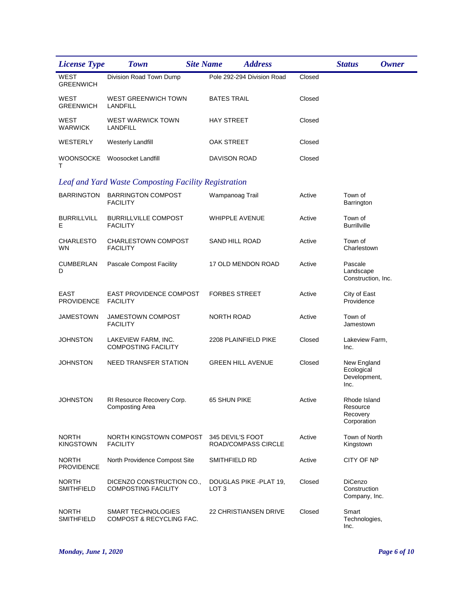| <b>License Type</b>               | <b>Site Name</b><br><b>Town</b>                         | <b>Address</b>                                 |        | <b>Status</b>                                       | <b>Owner</b> |
|-----------------------------------|---------------------------------------------------------|------------------------------------------------|--------|-----------------------------------------------------|--------------|
| <b>WEST</b><br><b>GREENWICH</b>   | Division Road Town Dump                                 | Pole 292-294 Division Road                     | Closed |                                                     |              |
| WEST<br><b>GREENWICH</b>          | WEST GREENWICH TOWN<br>LANDFILL                         | <b>BATES TRAIL</b>                             | Closed |                                                     |              |
| WEST<br>WARWICK                   | <b>WEST WARWICK TOWN</b><br>LANDFILL                    | <b>HAY STREET</b>                              | Closed |                                                     |              |
| WESTERLY                          | <b>Westerly Landfill</b>                                | OAK STREET                                     | Closed |                                                     |              |
| WOONSOCKE<br>т                    | Woosocket Landfill                                      | DAVISON ROAD                                   | Closed |                                                     |              |
|                                   | Leaf and Yard Waste Composting Facility Registration    |                                                |        |                                                     |              |
| <b>BARRINGTON</b>                 | <b>BARRINGTON COMPOST</b><br><b>FACILITY</b>            | Wampanoag Trail                                | Active | Town of<br>Barrington                               |              |
| <b>BURRILLVILL</b><br>Е.          | <b>BURRILLVILLE COMPOST</b><br><b>FACILITY</b>          | <b>WHIPPLE AVENUE</b>                          | Active | Town of<br><b>Burrillville</b>                      |              |
| <b>CHARLESTO</b><br>WN            | <b>CHARLESTOWN COMPOST</b><br><b>FACILITY</b>           | SAND HILL ROAD                                 | Active | Town of<br>Charlestown                              |              |
| CUMBERLAN<br>D                    | Pascale Compost Facility                                | 17 OLD MENDON ROAD                             | Active | Pascale<br>Landscape<br>Construction, Inc.          |              |
| EAST<br><b>PROVIDENCE</b>         | <b>EAST PROVIDENCE COMPOST</b><br><b>FACILITY</b>       | <b>FORBES STREET</b>                           | Active | City of East<br>Providence                          |              |
| JAMESTOWN                         | <b>JAMESTOWN COMPOST</b><br><b>FACILITY</b>             | <b>NORTH ROAD</b>                              | Active | Town of<br>Jamestown                                |              |
| JOHNSTON                          | LAKEVIEW FARM, INC.<br><b>COMPOSTING FACILITY</b>       | 2208 PLAINFIELD PIKE                           | Closed | Lakeview Farm,<br>Inc.                              |              |
| <b>JOHNSTON</b>                   | NEED TRANSFER STATION                                   | <b>GREEN HILL AVENUE</b>                       | Closed | New England<br>Ecological<br>Development,<br>Inc.   |              |
| <b>JOHNSTON</b>                   | RI Resource Recovery Corp.<br>Composting Area           | 65 SHUN PIKE                                   | Active | Rhode Island<br>Resource<br>Recovery<br>Corporation |              |
| <b>NORTH</b><br><b>KINGSTOWN</b>  | NORTH KINGSTOWN COMPOST<br><b>FACILITY</b>              | 345 DEVIL'S FOOT<br><b>ROAD/COMPASS CIRCLE</b> | Active | Town of North<br>Kingstown                          |              |
| <b>NORTH</b><br><b>PROVIDENCE</b> | North Providence Compost Site                           | SMITHFIELD RD                                  | Active | CITY OF NP                                          |              |
| <b>NORTH</b><br><b>SMITHFIELD</b> | DICENZO CONSTRUCTION CO.,<br><b>COMPOSTING FACILITY</b> | DOUGLAS PIKE -PLAT 19,<br>LOT <sub>3</sub>     | Closed | DiCenzo<br>Construction<br>Company, Inc.            |              |
| <b>NORTH</b><br><b>SMITHFIELD</b> | SMART TECHNOLOGIES<br>COMPOST & RECYCLING FAC.          | <b>22 CHRISTIANSEN DRIVE</b>                   | Closed | Smart<br>Technologies,<br>Inc.                      |              |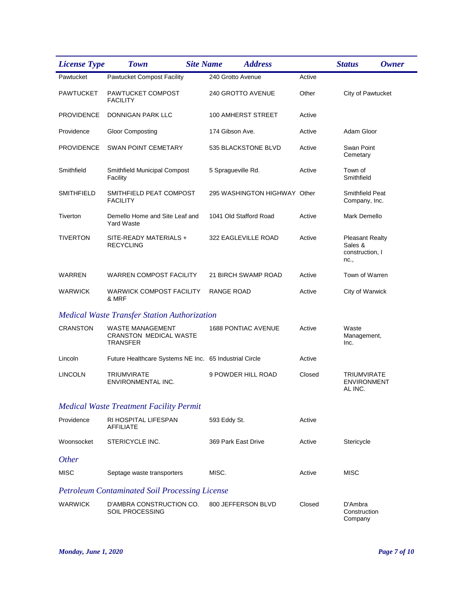| <b>License Type</b> | <b>Site Name</b><br><b>Town</b>                                             | <b>Address</b>               |        | <b>Status</b>                                                | <b>Owner</b> |
|---------------------|-----------------------------------------------------------------------------|------------------------------|--------|--------------------------------------------------------------|--------------|
| Pawtucket           | <b>Pawtucket Compost Facility</b>                                           | 240 Grotto Avenue            | Active |                                                              |              |
| <b>PAWTUCKET</b>    | PAWTUCKET COMPOST<br><b>FACILITY</b>                                        | 240 GROTTO AVENUE            | Other  | City of Pawtucket                                            |              |
| <b>PROVIDENCE</b>   | <b>DONNIGAN PARK LLC</b>                                                    | 100 AMHERST STREET           | Active |                                                              |              |
| Providence          | <b>Gloor Composting</b>                                                     | 174 Gibson Ave.              | Active | Adam Gloor                                                   |              |
| <b>PROVIDENCE</b>   | <b>SWAN POINT CEMETARY</b>                                                  | 535 BLACKSTONE BLVD          | Active | Swan Point<br>Cemetary                                       |              |
| Smithfield          | <b>Smithfield Municipal Compost</b><br>Facility                             | 5 Spragueville Rd.           | Active | Town of<br>Smithfield                                        |              |
| SMITHFIELD          | SMITHFIELD PEAT COMPOST<br><b>FACILITY</b>                                  | 295 WASHINGTON HIGHWAY Other |        | Smithfield Peat<br>Company, Inc.                             |              |
| Tiverton            | Demello Home and Site Leaf and<br><b>Yard Waste</b>                         | 1041 Old Stafford Road       | Active | Mark Demello                                                 |              |
| <b>TIVERTON</b>     | SITE-READY MATERIALS +<br><b>RECYCLING</b>                                  | 322 EAGLEVILLE ROAD          | Active | <b>Pleasant Realty</b><br>Sales &<br>construction, I<br>nc., |              |
| WARREN              | <b>WARREN COMPOST FACILITY</b>                                              | 21 BIRCH SWAMP ROAD          | Active | Town of Warren                                               |              |
| <b>WARWICK</b>      | <b>WARWICK COMPOST FACILITY</b><br>& MRF                                    | <b>RANGE ROAD</b>            | Active | City of Warwick                                              |              |
|                     | <b>Medical Waste Transfer Station Authorization</b>                         |                              |        |                                                              |              |
| <b>CRANSTON</b>     | <b>WASTE MANAGEMENT</b><br><b>CRANSTON MEDICAL WASTE</b><br><b>TRANSFER</b> | <b>1688 PONTIAC AVENUE</b>   | Active | Waste<br>Management,<br>Inc.                                 |              |
| Lincoln             | Future Healthcare Systems NE Inc. 65 Industrial Circle                      |                              | Active |                                                              |              |
| <b>LINCOLN</b>      | <b>TRIUMVIRATE</b><br>ENVIRONMENTAL INC.                                    | 9 POWDER HILL ROAD           | Closed | TRIUMVIRATE<br><b>ENVIRONMENT</b><br>AL INC.                 |              |
|                     | <b>Medical Waste Treatment Facility Permit</b>                              |                              |        |                                                              |              |
| Providence          | RI HOSPITAL LIFESPAN<br><b>AFFILIATE</b>                                    | 593 Eddy St.                 | Active |                                                              |              |
| Woonsocket          | STERICYCLE INC.                                                             | 369 Park East Drive          | Active | Stericycle                                                   |              |
| <b>Other</b>        |                                                                             |                              |        |                                                              |              |
| <b>MISC</b>         | Septage waste transporters                                                  | MISC.                        | Active | <b>MISC</b>                                                  |              |
|                     | <b>Petroleum Contaminated Soil Processing License</b>                       |                              |        |                                                              |              |
| WARWICK             | D'AMBRA CONSTRUCTION CO.<br><b>SOIL PROCESSING</b>                          | 800 JEFFERSON BLVD           | Closed | D'Ambra<br>Construction<br>Company                           |              |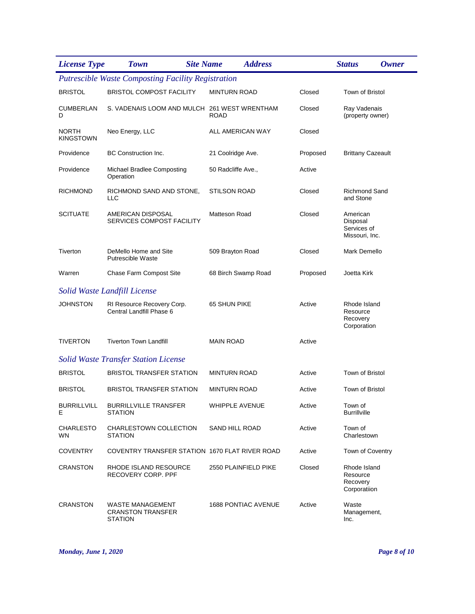| <b>License Type</b>       | <b>Site Name</b><br><b>Town</b>                                | <b>Address</b>       |          | <b>Status</b>                                         | <b>Owner</b> |
|---------------------------|----------------------------------------------------------------|----------------------|----------|-------------------------------------------------------|--------------|
|                           | <b>Putrescible Waste Composting Facility Registration</b>      |                      |          |                                                       |              |
| <b>BRISTOL</b>            | <b>BRISTOL COMPOST FACILITY</b>                                | <b>MINTURN ROAD</b>  | Closed   | Town of Bristol                                       |              |
| CUMBERLAN<br>D            | S. VADENAIS LOOM AND MULCH 261 WEST WRENTHAM                   | <b>ROAD</b>          | Closed   | Ray Vadenais<br>(property owner)                      |              |
| NORTH<br><b>KINGSTOWN</b> | Neo Energy, LLC                                                | ALL AMERICAN WAY     | Closed   |                                                       |              |
| Providence                | BC Construction Inc.                                           | 21 Coolridge Ave.    | Proposed | <b>Brittany Cazeault</b>                              |              |
| Providence                | Michael Bradlee Composting<br>Operation                        | 50 Radcliffe Ave.,   | Active   |                                                       |              |
| RICHMOND                  | RICHMOND SAND AND STONE,<br>LLC                                | <b>STILSON ROAD</b>  | Closed   | <b>Richmond Sand</b><br>and Stone                     |              |
| <b>SCITUATE</b>           | AMERICAN DISPOSAL<br>SERVICES COMPOST FACILITY                 | Matteson Road        | Closed   | American<br>Disposal<br>Services of<br>Missouri, Inc. |              |
| Tiverton                  | DeMello Home and Site<br><b>Putrescible Waste</b>              | 509 Brayton Road     | Closed   | Mark Demello                                          |              |
| Warren                    | Chase Farm Compost Site                                        | 68 Birch Swamp Road  | Proposed | Joetta Kirk                                           |              |
|                           | Solid Waste Landfill License                                   |                      |          |                                                       |              |
| JOHNSTON                  | RI Resource Recovery Corp.<br>Central Landfill Phase 6         | 65 SHUN PIKE         | Active   | Rhode Island<br>Resource<br>Recovery<br>Corporation   |              |
| <b>TIVERTON</b>           | <b>Tiverton Town Landfill</b>                                  | <b>MAIN ROAD</b>     | Active   |                                                       |              |
|                           | <b>Solid Waste Transfer Station License</b>                    |                      |          |                                                       |              |
| <b>BRISTOL</b>            | <b>BRISTOL TRANSFER STATION</b>                                | <b>MINTURN ROAD</b>  | Active   | Town of Bristol                                       |              |
| <b>BRISTOL</b>            | <b>BRISTOL TRANSFER STATION</b>                                | <b>MINTURN ROAD</b>  | Active   | Town of Bristol                                       |              |
| <b>BURRILLVILL</b><br>Е   | <b>BURRILLVILLE TRANSFER</b><br><b>STATION</b>                 | WHIPPLE AVENUE       | Active   | Town of<br><b>Burrillville</b>                        |              |
| <b>CHARLESTO</b><br>WN.   | CHARLESTOWN COLLECTION<br><b>STATION</b>                       | SAND HILL ROAD       | Active   | Town of<br>Charlestown                                |              |
| <b>COVENTRY</b>           | COVENTRY TRANSFER STATION 1670 FLAT RIVER ROAD                 |                      | Active   | Town of Coventry                                      |              |
| <b>CRANSTON</b>           | RHODE ISLAND RESOURCE<br>RECOVERY CORP. PPF                    | 2550 PLAINFIELD PIKE | Closed   | Rhode Island<br>Resource<br>Recovery<br>Corporatiion  |              |
| <b>CRANSTON</b>           | WASTE MANAGEMENT<br><b>CRANSTON TRANSFER</b><br><b>STATION</b> | 1688 PONTIAC AVENUE  | Active   | Waste<br>Management,<br>Inc.                          |              |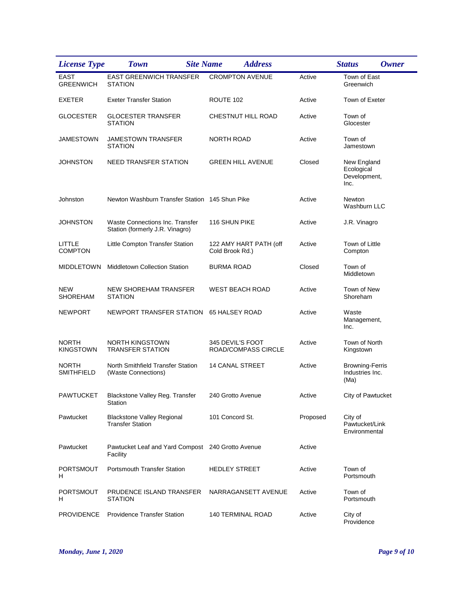| <b>License Type</b>               | <b>Site Name</b><br><b>Town</b>                                           | <b>Address</b>                            |          | <b>Status</b><br><b>Owner</b>                     |
|-----------------------------------|---------------------------------------------------------------------------|-------------------------------------------|----------|---------------------------------------------------|
| <b>EAST</b><br><b>GREENWICH</b>   | <b>EAST GREENWICH TRANSFER</b><br><b>STATION</b>                          | <b>CROMPTON AVENUE</b>                    | Active   | Town of East<br>Greenwich                         |
| <b>EXETER</b>                     | <b>Exeter Transfer Station</b>                                            | ROUTE 102                                 | Active   | Town of Exeter                                    |
| <b>GLOCESTER</b>                  | <b>GLOCESTER TRANSFER</b><br><b>STATION</b>                               | CHESTNUT HILL ROAD                        | Active   | Town of<br>Glocester                              |
| <b>JAMESTOWN</b>                  | JAMESTOWN TRANSFER<br><b>STATION</b>                                      | <b>NORTH ROAD</b>                         | Active   | Town of<br>Jamestown                              |
| <b>JOHNSTON</b>                   | <b>NEED TRANSFER STATION</b>                                              | <b>GREEN HILL AVENUE</b>                  | Closed   | New England<br>Ecological<br>Development,<br>Inc. |
| Johnston                          | Newton Washburn Transfer Station 145 Shun Pike                            |                                           | Active   | Newton<br>Washburn LLC                            |
| <b>JOHNSTON</b>                   | <b>Waste Connections Inc. Transfer</b><br>Station (formerly J.R. Vinagro) | 116 SHUN PIKE                             | Active   | J.R. Vinagro                                      |
| LITTLE<br><b>COMPTON</b>          | Little Compton Transfer Station                                           | 122 AMY HART PATH (off<br>Cold Brook Rd.) | Active   | Town of Little<br>Compton                         |
| <b>MIDDLETOWN</b>                 | <b>Middletown Collection Station</b>                                      | <b>BURMA ROAD</b>                         | Closed   | Town of<br>Middletown                             |
| <b>NEW</b><br><b>SHOREHAM</b>     | <b>NEW SHOREHAM TRANSFER</b><br><b>STATION</b>                            | WEST BEACH ROAD                           | Active   | Town of New<br>Shoreham                           |
| <b>NEWPORT</b>                    | NEWPORT TRANSFER STATION                                                  | 65 HALSEY ROAD                            | Active   | Waste<br>Management,<br>Inc.                      |
| <b>NORTH</b><br><b>KINGSTOWN</b>  | NORTH KINGSTOWN<br><b>TRANSFER STATION</b>                                | 345 DEVIL'S FOOT<br>ROAD/COMPASS CIRCLE   | Active   | Town of North<br>Kingstown                        |
| <b>NORTH</b><br><b>SMITHFIELD</b> | North Smithfield Transfer Station<br>(Waste Connections)                  | <b>14 CANAL STREET</b>                    | Active   | <b>Browning-Ferris</b><br>Industries Inc.<br>(Ma) |
| <b>PAWTUCKET</b>                  | Blackstone Valley Reg. Transfer<br>Station                                | 240 Grotto Avenue                         | Active   | City of Pawtucket                                 |
| Pawtucket                         | <b>Blackstone Valley Regional</b><br><b>Transfer Station</b>              | 101 Concord St.                           | Proposed | City of<br>Pawtucket/Link<br>Environmental        |
| Pawtucket                         | Pawtucket Leaf and Yard Compost 240 Grotto Avenue<br>Facility             |                                           | Active   |                                                   |
| <b>PORTSMOUT</b><br>Н.            | <b>Portsmouth Transfer Station</b>                                        | <b>HEDLEY STREET</b>                      | Active   | Town of<br>Portsmouth                             |
| <b>PORTSMOUT</b><br>H             | PRUDENCE ISLAND TRANSFER<br><b>STATION</b>                                | NARRAGANSETT AVENUE                       | Active   | Town of<br>Portsmouth                             |
| <b>PROVIDENCE</b>                 | <b>Providence Transfer Station</b>                                        | <b>140 TERMINAL ROAD</b>                  | Active   | City of<br>Providence                             |

*Monday, June 1, 2020 Page 9 of 10*